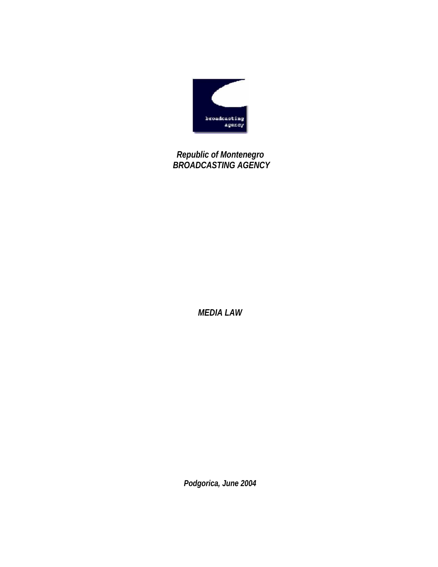

 *Republic of Montenegro BROADCASTING AGENCY*

*MEDIA LAW* 

*Podgorica, June 2004*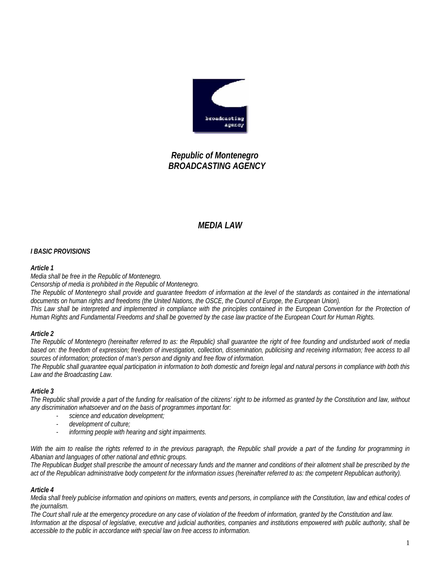

# *Republic of Montenegro BROADCASTING AGENCY*

# *MEDIA LAW*

## *I BASIC PROVISIONS*

#### *Article 1*

*Media shall be free in the Republic of Montenegro.* 

*Censorship of media is prohibited in the Republic of Montenegro.* 

*The Republic of Montenegro shall provide and guarantee freedom of information at the level of the standards as contained in the international*  documents on human rights and freedoms (the United Nations, the OSCE, the Council of Europe, the European Union). *This Law shall be interpreted and implemented in compliance with the principles contained in the European Convention for the Protection of Human Rights and Fundamental Freedoms and shall be governed by the case law practice of the European Court for Human Rights.* 

## *Article 2*

*The Republic of Montenegro (hereinafter referred to as: the Republic) shall guarantee the right of free founding and undisturbed work of media based on: the freedom of expression; freedom of investigation, collection, dissemination, publicising and receiving information; free access to all sources of information; protection of man's person and dignity and free flow of information.* 

*The Republic shall guarantee equal participation in information to both domestic and foreign legal and natural persons in compliance with both this Law and the Broadcasting Law.* 

## *Article 3*

*The Republic shall provide a part of the funding for realisation of the citizens' right to be informed as granted by the Constitution and law, without any discrimination whatsoever and on the basis of programmes important for:* 

- *science and education development;*
- *development of culture;*
- *informing people with hearing and sight impairments.*

*With the aim to realise the rights referred to in the previous paragraph, the Republic shall provide a part of the funding for programming in Albanian and languages of other national and ethnic groups.* 

*The Republican Budget shall prescribe the amount of necessary funds and the manner and conditions of their allotment shall be prescribed by the act of the Republican administrative body competent for the information issues (hereinafter referred to as: the competent Republican authority).* 

## *Article 4*

*Media shall freely publicise information and opinions on matters, events and persons, in compliance with the Constitution, law and ethical codes of the journalism.* 

*The Court shall rule at the emergency procedure on any case of violation of the freedom of information, granted by the Constitution and law. Information at the disposal of legislative, executive and judicial authorities, companies and institutions empowered with public authority, shall be accessible to the public in accordance with special law on free access to information.*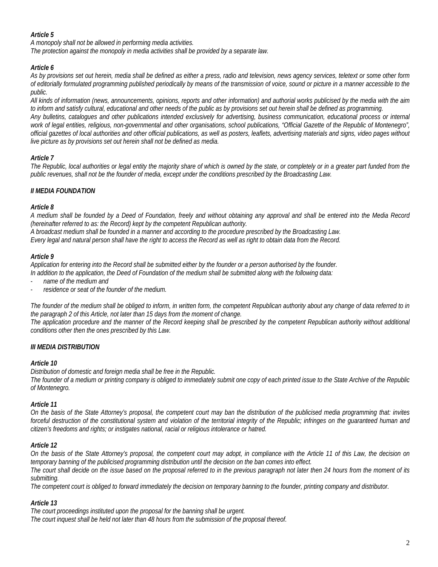# *Article 5*

*A monopoly shall not be allowed in performing media activities. The protection against the monopoly in media activities shall be provided by a separate law.* 

# *Article 6*

*As by provisions set out herein, media shall be defined as either a press, radio and television, news agency services, teletext or some other form of editorially formulated programming published periodically by means of the transmission of voice, sound or picture in a manner accessible to the public.* 

*All kinds of information (news, announcements, opinions, reports and other information) and authorial works publicised by the media with the aim to inform and satisfy cultural, educational and other needs of the public as by provisions set out herein shall be defined as programming. Any bulletins, catalogues and other publications intended exclusively for advertising, business communication, educational process or internal work of legal entities, religious, non-governmental and other organisations, school publications, "Official Gazette of the Republic of Montenegro", official gazettes of local authorities and other official publications, as well as posters, leaflets, advertising materials and signs, video pages without live picture as by provisions set out herein shall not be defined as media.* 

# *Article 7*

*The Republic, local authorities or legal entity the majority share of which is owned by the state, or completely or in a greater part funded from the public revenues, shall not be the founder of media, except under the conditions prescribed by the Broadcasting Law.* 

# *II MEDIA FOUNDATION*

## *Article 8*

*A medium shall be founded by a Deed of Foundation, freely and without obtaining any approval and shall be entered into the Media Record (hereinafter referred to as: the Record) kept by the competent Republican authority.* 

*A broadcast medium shall be founded in a manner and according to the procedure prescribed by the Broadcasting Law.* 

*Every legal and natural person shall have the right to access the Record as well as right to obtain data from the Record.* 

## *Article 9*

*Application for entering into the Record shall be submitted either by the founder or a person authorised by the founder.* 

*In addition to the application, the Deed of Foundation of the medium shall be submitted along with the following data:* 

- *name of the medium and*
- *residence or seat of the founder of the medium.*

*The founder of the medium shall be obliged to inform, in written form, the competent Republican authority about any change of data referred to in the paragraph 2 of this Article, not later than 15 days from the moment of change.* 

*The application procedure and the manner of the Record keeping shall be prescribed by the competent Republican authority without additional conditions other then the ones prescribed by this Law.* 

## *III MEDIA DISTRIBUTION*

## *Article 10*

*Distribution of domestic and foreign media shall be free in the Republic.* 

*The founder of a medium or printing company is obliged to immediately submit one copy of each printed issue to the State Archive of the Republic of Montenegro.* 

## *Article 11*

*On the basis of the State Attorney's proposal, the competent court may ban the distribution of the publicised media programming that: invites forceful destruction of the constitutional system and violation of the territorial integrity of the Republic; infringes on the guaranteed human and citizen's freedoms and rights; or instigates national, racial or religious intolerance or hatred.* 

## *Article 12*

*On the basis of the State Attorney's proposal, the competent court may adopt, in compliance with the Article 11 of this Law, the decision on temporary banning of the publicised programming distribution until the decision on the ban comes into effect.* 

*The court shall decide on the issue based on the proposal referred to in the previous paragraph not later then 24 hours from the moment of its submitting.* 

*The competent court is obliged to forward immediately the decision on temporary banning to the founder, printing company and distributor.* 

## *Article 13*

*The court proceedings instituted upon the proposal for the banning shall be urgent. The court inquest shall be held not later than 48 hours from the submission of the proposal thereof.*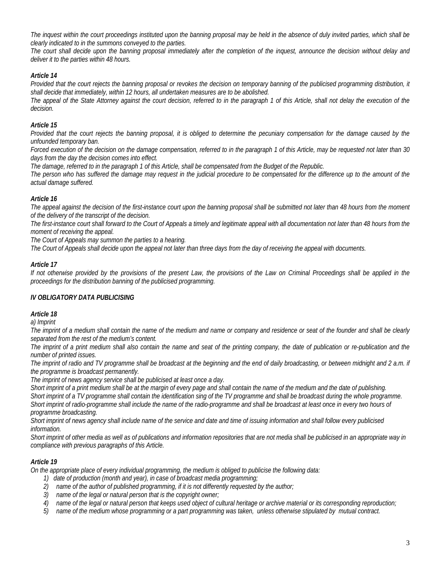*The inquest within the court proceedings instituted upon the banning proposal may be held in the absence of duly invited parties, which shall be clearly indicated to in the summons conveyed to the parties.* 

*The court shall decide upon the banning proposal immediately after the completion of the inquest, announce the decision without delay and deliver it to the parties within 48 hours.* 

# *Article 14*

*Provided that the court rejects the banning proposal or revokes the decision on temporary banning of the publicised programming distribution, it shall decide that immediately, within 12 hours, all undertaken measures are to be abolished.* 

*The appeal of the State Attorney against the court decision, referred to in the paragraph 1 of this Article, shall not delay the execution of the decision.* 

## *Article 15*

*Provided that the court rejects the banning proposal, it is obliged to determine the pecuniary compensation for the damage caused by the unfounded temporary ban.* 

*Forced execution of the decision on the damage compensation, referred to in the paragraph 1 of this Article, may be requested not later than 30 days from the day the decision comes into effect.* 

*The damage, referred to in the paragraph 1 of this Article, shall be compensated from the Budget of the Republic.* 

*The person who has suffered the damage may request in the judicial procedure to be compensated for the difference up to the amount of the actual damage suffered.* 

## *Article 16*

*The appeal against the decision of the first-instance court upon the banning proposal shall be submitted not later than 48 hours from the moment of the delivery of the transcript of the decision.* 

*The first-instance court shall forward to the Court of Appeals a timely and legitimate appeal with all documentation not later than 48 hours from the moment of receiving the appeal.* 

*The Court of Appeals may summon the parties to a hearing.* 

*The Court of Appeals shall decide upon the appeal not later than three days from the day of receiving the appeal with documents.* 

#### *Article 17*

*If not otherwise provided by the provisions of the present Law, the provisions of the Law on Criminal Proceedings shall be applied in the proceedings for the distribution banning of the publicised programming.* 

## *IV OBLIGATORY DATA PUBLICISING*

## *Article 18*

*a) Imprint* 

*The imprint of a medium shall contain the name of the medium and name or company and residence or seat of the founder and shall be clearly separated from the rest of the medium's content.* 

*The imprint of a print medium shall also contain the name and seat of the printing company, the date of publication or re-publication and the number of printed issues.* 

*The imprint of radio and TV programme shall be broadcast at the beginning and the end of daily broadcasting, or between midnight and 2 a.m. if the programme is broadcast permanently.* 

*The imprint of news agency service shall be publicised at least once a day.* 

*Short imprint of a print medium shall be at the margin of every page and shall contain the name of the medium and the date of publishing. Short imprint of a TV programme shall contain the identification sing of the TV programme and shall be broadcast during the whole programme. Short imprint of radio-programme shall include the name of the radio-programme and shall be broadcast at least once in every two hours of programme broadcasting.* 

*Short imprint of news agency shall include name of the service and date and time of issuing information and shall follow every publicised information.* 

Short imprint of other media as well as of publications and information repositories that are not media shall be publicised in an appropriate way in *compliance with previous paragraphs of this Article.* 

## *Article 19*

*On the appropriate place of every individual programming, the medium is obliged to publicise the following data:* 

- *1) date of production (month and year), in case of broadcast media programming;*
- *2) name of the author of published programming, if it is not differently requested by the author;*
- *3) name of the legal or natural person that is the copyright owner;*
- *4) name of the legal or natural person that keeps used object of cultural heritage or archive material or its corresponding reproduction;*
- *5) name of the medium whose programming or a part programming was taken, unless otherwise stipulated by mutual contract.*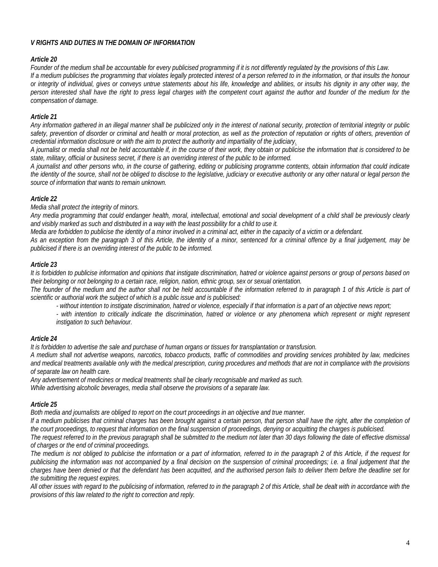#### *V RIGHTS AND DUTIES IN THE DOMAIN OF INFORMATION*

#### *Article 20*

*Founder of the medium shall be accountable for every publicised programming if it is not differently regulated by the provisions of this Law. If a medium publicises the programming that violates legally protected interest of a person referred to in the information, or that insults the honour or integrity of individual, gives or conveys untrue statements about his life, knowledge and abilities, or insults his dignity in any other way, the person interested shall have the right to press legal charges with the competent court against the author and founder of the medium for the compensation of damage.* 

#### *Article 21*

*Any information gathered in an illegal manner shall be publicized only in the interest of national security, protection of territorial integrity or public*  safety, prevention of disorder or criminal and health or moral protection, as well as the protection of reputation or rights of others, prevention of *credential information disclosure or with the aim to protect the authority and impartiality of the judiciary.* 

*A journalist or media shall not be held accountable if, in the course of their work, they obtain or publicise the information that is considered to be state, military, official or business secret, if there is an overriding interest of the public to be informed.* 

*A journalist and other persons who, in the course of gathering, editing or publicising programme contents, obtain information that could indicate the identity of the source, shall not be obliged to disclose to the legislative, judiciary or executive authority or any other natural or legal person the source of information that wants to remain unknown.* 

#### *Article 22*

*Media shall protect the integrity of minors.* 

*Any media programming that could endanger health, moral, intellectual, emotional and social development of a child shall be previously clearly and visibly marked as such and distributed in a way with the least possibility for a child to use it.* 

*Media are forbidden to publicise the identity of a minor involved in a criminal act, either in the capacity of a victim or a defendant.* 

*As an exception from the paragraph 3 of this Article, the identity of a minor, sentenced for a criminal offence by a final judgement, may be publicised if there is an overriding interest of the public to be informed.* 

#### *Article 23*

*It is forbidden to publicise information and opinions that instigate discrimination, hatred or violence against persons or group of persons based on their belonging or not belonging to a certain race, religion, nation, ethnic group, sex or sexual orientation.* 

The founder of the medium and the author shall not be held accountable if the information referred to in paragraph 1 of this Article is part of *scientific or authorial work the subject of which is a public issue and is publicised:* 

*- without intention to instigate discrimination, hatred or violence, especially if that information is a part of an objective news report;* 

*- with intention to critically indicate the discrimination, hatred or violence or any phenomena which represent or might represent instigation to such behaviour.* 

## *Article 24*

*It is forbidden to advertise the sale and purchase of human organs or tissues for transplantation or transfusion.* 

*A medium shall not advertise weapons, narcotics, tobacco products, traffic of commodities and providing services prohibited by law, medicines and medical treatments available only with the medical prescription, curing procedures and methods that are not in compliance with the provisions of separate law on health care.* 

*Any advertisement of medicines or medical treatments shall be clearly recognisable and marked as such.* 

*While advertising alcoholic beverages, media shall observe the provisions of a separate law.* 

#### *Article 25*

*Both media and journalists are obliged to report on the court proceedings in an objective and true manner.* 

If a medium publicises that criminal charges has been brought against a certain person, that person shall have the right, after the completion of *the court proceedings, to request that information on the final suspension of proceedings, denying or acquitting the charges is publicised.* 

*The request referred to in the previous paragraph shall be submitted to the medium not later than 30 days following the date of effective dismissal of charges or the end of criminal proceedings.* 

*The medium is not obliged to publicise the information or a part of information, referred to in the paragraph 2 of this Article, if the request for publicising the information was not accompanied by a final decision on the suspension of criminal proceedings; i.e. a final judgement that the charges have been denied or that the defendant has been acquitted, and the authorised person fails to deliver them before the deadline set for the submitting the request expires.* 

*All other issues with regard to the publicising of information, referred to in the paragraph 2 of this Article, shall be dealt with in accordance with the provisions of this law related to the right to correction and reply.*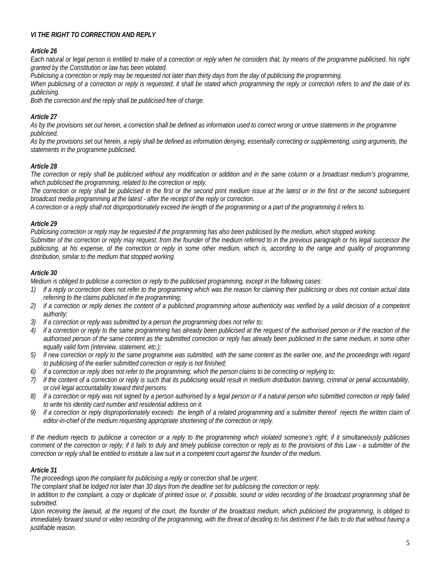# *VI THE RIGHT TO CORRECTION AND REPLY*

## *Article 26*

*Each natural or legal person is entitled to make of a correction or reply when he considers that, by means of the programme publicised, his right granted by the Constitution or law has been violated.* 

*Publicising a correction or reply may be requested not later than thirty days from the day of publicising the programming.* 

*When publicising of a correction or reply is requested, it shall be stated which programming the reply or correction refers to and the date of its publicising.* 

*Both the correction and the reply shall be publicised free of charge.* 

## *Article 27*

*As by the provisions set out herein, a correction shall be defined as information used to correct wrong or untrue statements in the programme publicised.* 

*As by the provisions set out herein, a reply shall be defined as information denying, essentially correcting or supplementing, using arguments, the statements in the programme publicised.* 

## *Article 28*

*The correction or reply shall be publicised without any modification or addition and in the same column or a broadcast medium's programme, which publicised the programming, related to the correction or reply.* 

*The correction or reply shall be publicised in the first or the second print medium issue at the latest or in the first or the second subsequent broadcast media programming at the latest - after the receipt of the reply or correction.* 

*A correction or a reply shall not disproportionately exceed the length of the programming or a part of the programming it refers to.* 

#### *Article 29*

*Publicising correction or reply may be requested if the programming has also been publicised by the medium, which stopped working. Submitter of the correction or reply may request, from the founder of the medium referred to in the previous paragraph or his legal successor the publicising, at his expense, of the correction or reply in some other medium, which is, according to the range and quality of programming distribution, similar to the medium that stopped working.* 

#### *Article 30*

*Medium is obliged to publicise a correction or reply to the publicised programming, except in the following cases:* 

- *1) if a reply or correction does not refer to the programming which was the reason for claiming their publicising or does not contain actual data referring to the claims publicised in the programming;*
- *2) if a correction or reply denies the content of a publicised programming whose authenticity was verified by a valid decision of a competent authority;*
- *3) if a correction or reply was submitted by a person the programming does not refer to;*
- *4) if a correction or reply to the same programming has already been publicised at the request of the authorised person or if the reaction of the authorised person of the same content as the submitted correction or reply has already been publicised in the same medium, in some other equally valid form (interview, statement, etc.);*
- *5) if new correction or reply to the same programme was submitted, with the same content as the earlier one, and the proceedings with regard to publicising of the earlier submitted correction or reply is not finished;*
- *6) if a correction or reply does not refer to the programming, which the person claims to be correcting or replying to;*
- *7) if the content of a correction or reply is such that its publicising would result in medium distribution banning, criminal or penal accountability, or civil legal accountability toward third persons.*
- *8) if a correction or reply was not signed by a person authorised by a legal person or if a natural person who submitted correction or reply failed to write his identity card number and residential address on it.*
- *9)* if a correction or reply disproportionately exceeds the length of a related programming and a submitter thereof rejects the written claim of *editor-in-chief of the medium requesting appropriate shortening of the correction or reply.*

*If the medium rejects to publicise a correction or a reply to the programming which violated someone's right; if it simultaneously publicises comment of the correction or reply; if it fails to duly and timely publicise correction or reply as to the provisions of this Law - a submitter of the correction or reply shall be entitled to institute a law suit in a competent court against the founder of the medium.* 

## *Article 31*

*The proceedings upon the complaint for publicising a reply or correction shall be urgent.* 

*The complaint shall be lodged not later than 30 days from the deadline set for publicising the correction or reply.* 

*In addition to the complaint, a copy or duplicate of printed issue or, if possible, sound or video recording of the broadcast programming shall be submitted.* 

*Upon receiving the lawsuit, at the request of the court, the founder of the broadcast medium, which publicised the programming, is obliged to immediately forward sound or video recording of the programming, with the threat of deciding to his detriment if he fails to do that without having a justifiable reason.*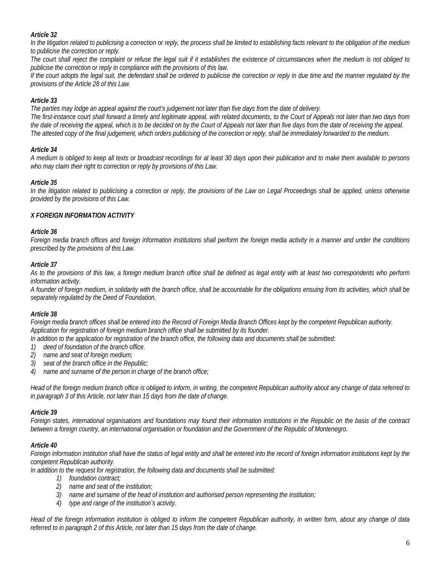## *Article 32*

*In the litigation related to publicising a correction or reply, the process shall be limited to establishing facts relevant to the obligation of the medium to publicise the correction or reply.* 

*The court shall reject the complaint or refuse the legal suit if it establishes the existence of circumstances when the medium is not obliged to publicise the correction or reply in compliance with the provisions of this law.* 

*If the court adopts the legal suit, the defendant shall be ordered to publicise the correction or reply in due time and the manner regulated by the provisions of the Article 28 of this Law.* 

## *Article 33*

*The parties may lodge an appeal against the court's judgement not later than five days from the date of delivery. The first-instance court shall forward a timely and legitimate appeal, with related documents, to the Court of Appeals not later than two days from the date of receiving the appeal, which is to be decided on by the Court of Appeals not later than five days from the date of receiving the appeal. The attested copy of the final judgement, which orders publicising of the correction or reply, shall be immediately forwarded to the medium.* 

## *Article 34*

*A medium is obliged to keep all texts or broadcast recordings for at least 30 days upon their publication and to make them available to persons who may claim their right to correction or reply by provisions of this Law.* 

# *Article 35*

*In the litigation related to publicising a correction or reply, the provisions of the Law on Legal Proceedings shall be applied, unless otherwise provided by the provisions of this Law.* 

## *X FOREIGN INFORMATION ACTIVITY*

#### *Article 36*

*Foreign media branch offices and foreign information institutions shall perform the foreign media activity in a manner and under the conditions prescribed by the provisions of this Law.* 

## *Article 37*

*As to the provisions of this law, a foreign medium branch office shall be defined as legal entity with at least two correspondents who perform information activity.* 

*A founder of foreign medium, in solidarity with the branch office, shall be accountable for the obligations ensuing from its activities, which shall be separately regulated by the Deed of Foundation.*

## *Article 38*

*Foreign media branch offices shall be entered into the Record of Foreign Media Branch Offices kept by the competent Republican authority. Application for registration of foreign medium branch office shall be submitted by its founder.* 

*In addition to the application for registration of the branch office, the following data and documents shall be submitted:* 

- *1) deed of foundation of the branch office.*
- *2) name and seat of foreign medium;*
- *3) seat of the branch office in the Republic;*
- *4) name and surname of the person in charge of the branch office;*

*Head of the foreign medium branch office is obliged to inform, in writing, the competent Republican authority about any change of data referred to in paragraph 3 of this Article, not later than 15 days from the date of change.* 

## *Article 39*

*Foreign states, international organisations and foundations may found their information institutions in the Republic on the basis of the contract between a foreign country, an international organisation or foundation and the Government of the Republic of Montenegro.* 

## *Article 40*

*Foreign information institution shall have the status of legal entity and shall be entered into the record of foreign information institutions kept by the competent Republican authority.* 

*In addition to the request for registration, the following data and documents shall be submitted:* 

- *1) foundation contract;*
- *2) name and seat of the institution;*
- *3) name and surname of the head of institution and authorised person representing the institution;*
- *4) type and range of the institution's activity.*

*Head of the foreign information institution is obliged to inform the competent Republican authority, in written form, about any change of data referred to in paragraph 2 of this Article, not later than 15 days from the date of change.*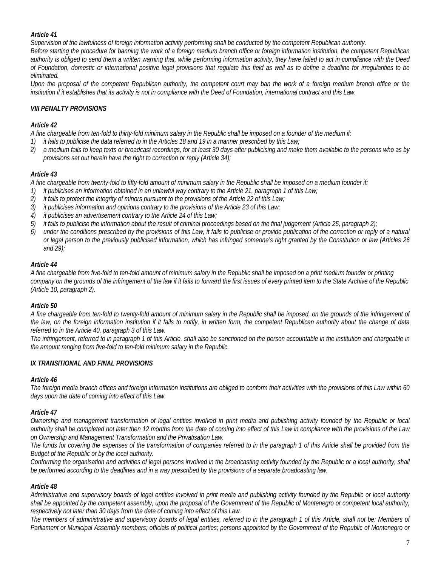# *Article 41*

*Supervision of the lawfulness of foreign information activity performing shall be conducted by the competent Republican authority.* 

*Before starting the procedure for banning the work of a foreign medium branch office or foreign information institution, the competent Republican authority is obliged to send them a written warning that, while performing information activity, they have failed to act in compliance with the Deed of Foundation, domestic or international positive legal provisions that regulate this field as well as to define a deadline for irregularities to be eliminated.* 

*Upon the proposal of the competent Republican authority, the competent court may ban the work of a foreign medium branch office or the institution if it establishes that its activity is not in compliance with the Deed of Foundation, international contract and this Law.* 

# *VIII PENALTY PROVISIONS*

# *Article 42*

*A fine chargeable from ten-fold to thirty-fold minimum salary in the Republic shall be imposed on a founder of the medium if:* 

- *1) it fails to publicise the data referred to in the Articles 18 and 19 in a manner prescribed by this Law;*
- *2) a medium fails to keep texts or broadcast recordings, for at least 30 days after publicising and make them available to the persons who as by provisions set out herein have the right to correction or reply (Article 34);*

# *Article 43*

*A fine chargeable from twenty-fold to fifty-fold amount of minimum salary in the Republic shall be imposed on a medium founder if:* 

- *1) it publicises an information obtained in an unlawful way contrary to the Article 21, paragraph 1 of this Law;*
- *2) it fails to protect the integrity of minors pursuant to the provisions of the Article 22 of this Law;*
- *3) it publicises information and opinions contrary to the provisions of the Article 23 of this Law;*
- *4) it publicises an advertisement contrary to the Article 24 of this Law;*
- *5) it fails to publicise the information about the result of criminal proceedings based on the final judgement (Article 25, paragraph 2);*
- *6) under the conditions prescribed by the provisions of this Law, it fails to publicise or provide publication of the correction or reply of a natural or legal person to the previously publicised information, which has infringed someone's right granted by the Constitution or law (Articles 26 and 29);*

# *Article 44*

*A fine chargeable from five-fold to ten-fold amount of minimum salary in the Republic shall be imposed on a print medium founder or printing company on the grounds of the infringement of the law if it fails to forward the first issues of every printed item to the State Archive of the Republic (Article 10, paragraph 2).*

## *Article 50*

*A fine chargeable from ten-fold to twenty-fold amount of minimum salary in the Republic shall be imposed, on the grounds of the infringement of the law, on the foreign information institution if it fails to notify, in written form, the competent Republican authority about the change of data referred to in the Article 40, paragraph 3 of this Law.* 

The infringement, referred to in paragraph 1 of this Article, shall also be sanctioned on the person accountable in the institution and chargeable in *the amount ranging from five-fold to ten-fold minimum salary in the Republic.* 

## *IX TRANSITIONAL AND FINAL PROVISIONS*

## *Article 46*

*The foreign media branch offices and foreign information institutions are obliged to conform their activities with the provisions of this Law within 60 days upon the date of coming into effect of this Law.* 

## *Article 47*

*Ownership and management transformation of legal entities involved in print media and publishing activity founded by the Republic or local authority shall be completed not later then 12 months from the date of coming into effect of this Law in compliance with the provisions of the Law on Ownership and Management Transformation and the Privatisation Law.* 

The funds for covering the expenses of the transformation of companies referred to in the paragraph 1 of this Article shall be provided from the *Budget of the Republic or by the local authority.* 

*Conforming the organisation and activities of legal persons involved in the broadcasting activity founded by the Republic or a local authority, shall be performed according to the deadlines and in a way prescribed by the provisions of a separate broadcasting law.* 

## *Article 48*

*Administrative and supervisory boards of legal entities involved in print media and publishing activity founded by the Republic or local authority shall be appointed by the competent assembly, upon the proposal of the Government of the Republic of Montenegro or competent local authority, respectively not later than 30 days from the date of coming into effect of this Law.* 

The members of administrative and supervisory boards of legal entities, referred to in the paragraph 1 of this Article, shall not be: Members of Parliament or Municipal Assembly members; officials of political parties; persons appointed by the Government of the Republic of Montenegro or